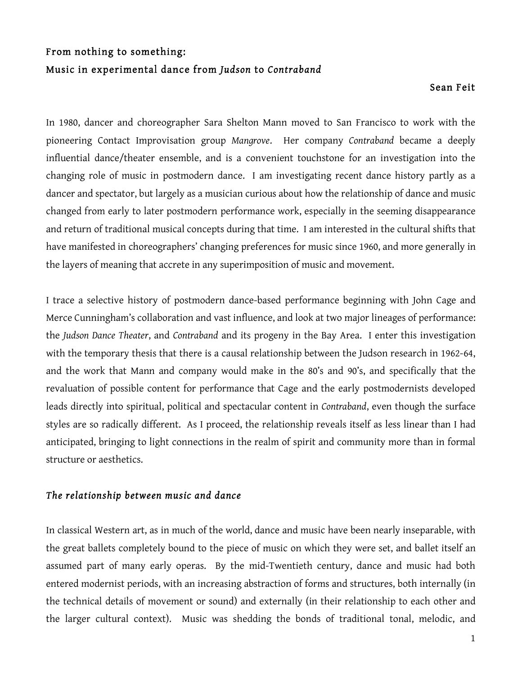# From nothing to something: Music in experimental dance from *Judson* to *Contraband*

#### Sean Feit

In 1980, dancer and choreographer Sara Shelton Mann moved to San Francisco to work with the pioneering Contact Improvisation group *Mangrove*. Her company *Contraband* became a deeply influential dance/theater ensemble, and is a convenient touchstone for an investigation into the changing role of music in postmodern dance. I am investigating recent dance history partly as a dancer and spectator, but largely as a musician curious about how the relationship of dance and music changed from early to later postmodern performance work, especially in the seeming disappearance and return of traditional musical concepts during that time. I am interested in the cultural shifts that have manifested in choreographers' changing preferences for music since 1960, and more generally in the layers of meaning that accrete in any superimposition of music and movement.

I trace a selective history of postmodern dance-based performance beginning with John Cage and Merce Cunningham's collaboration and vast influence, and look at two major lineages of performance: the *Judson Dance Theater*, and *Contraband* and its progeny in the Bay Area. I enter this investigation with the temporary thesis that there is a causal relationship between the Judson research in 1962-64, and the work that Mann and company would make in the 80's and 90's, and specifically that the revaluation of possible content for performance that Cage and the early postmodernists developed leads directly into spiritual, political and spectacular content in *Contraband*, even though the surface styles are so radically different. As I proceed, the relationship reveals itself as less linear than I had anticipated, bringing to light connections in the realm of spirit and community more than in formal structure or aesthetics.

## *The relationship between music and dance*

In classical Western art, as in much of the world, dance and music have been nearly inseparable, with the great ballets completely bound to the piece of music on which they were set, and ballet itself an assumed part of many early operas. By the mid-Twentieth century, dance and music had both entered modernist periods, with an increasing abstraction of forms and structures, both internally (in the technical details of movement or sound) and externally (in their relationship to each other and the larger cultural context). Music was shedding the bonds of traditional tonal, melodic, and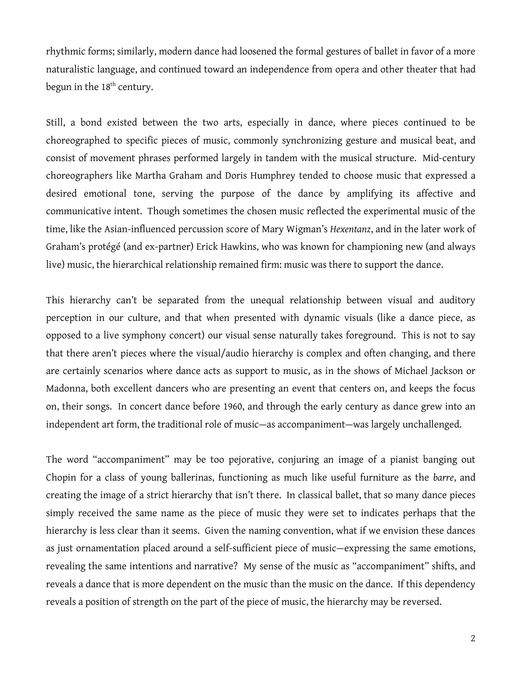rhythmic forms; similarly, modern dance had loosened the formal gestures of ballet in favor of a more naturalistic language, and continued toward an independence from opera and other theater that had begun in the 18<sup>th</sup> century.

Still, a bond existed between the two arts, especially in dance, where pieces continued to be choreographed to specific pieces of music, commonly synchronizing gesture and musical beat, and consist of movement phrases performed largely in tandem with the musical structure. Mid-century choreographers like Martha Graham and Doris Humphrey tended to choose music that expressed a desired emotional tone, serving the purpose of the dance by amplifying its affective and communicative intent. Though sometimes the chosen music reflected the experimental music of the time, like the Asian-influenced percussion score of Mary Wigman's *Hexentanz*, and in the later work of Graham's protégé (and ex-partner) Erick Hawkins, who was known for championing new (and always live) music, the hierarchical relationship remained firm: music was there to support the dance.

This hierarchy can't be separated from the unequal relationship between visual and auditory perception in our culture, and that when presented with dynamic visuals (like a dance piece, as opposed to a live symphony concert) our visual sense naturally takes foreground. This is not to say that there aren't pieces where the visual/audio hierarchy is complex and often changing, and there are certainly scenarios where dance acts as support to music, as in the shows of Michael Jackson or Madonna, both excellent dancers who are presenting an event that centers on, and keeps the focus on, their songs. In concert dance before 1960, and through the early century as dance grew into an independent art form, the traditional role of music—as accompaniment—was largely unchallenged.

The word "accompaniment" may be too pejorative, conjuring an image of a pianist banging out Chopin for a class of young ballerinas, functioning as much like useful furniture as the *barre*, and creating the image of a strict hierarchy that isn't there. In classical ballet, that so many dance pieces simply received the same name as the piece of music they were set to indicates perhaps that the hierarchy is less clear than it seems. Given the naming convention, what if we envision these dances as just ornamentation placed around a self-sufficient piece of music—expressing the same emotions, revealing the same intentions and narrative? My sense of the music as "accompaniment" shifts, and reveals a dance that is more dependent on the music than the music on the dance. If this dependency reveals a position of strength on the part of the piece of music, the hierarchy may be reversed.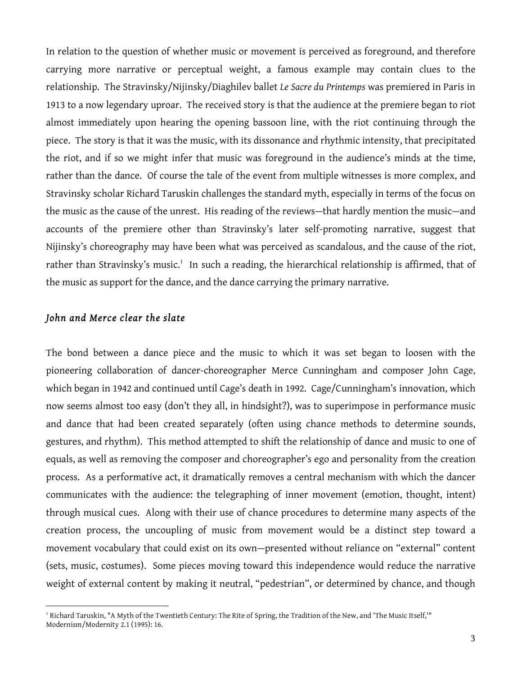In relation to the question of whether music or movement is perceived as foreground, and therefore carrying more narrative or perceptual weight, a famous example may contain clues to the relationship. The Stravinsky/Nijinsky/Diaghilev ballet *Le Sacre du Printemps* was premiered in Paris in 1913 to a now legendary uproar. The received story is that the audience at the premiere began to riot almost immediately upon hearing the opening bassoon line, with the riot continuing through the piece. The story is that it was the music, with its dissonance and rhythmic intensity, that precipitated the riot, and if so we might infer that music was foreground in the audience's minds at the time, rather than the dance. Of course the tale of the event from multiple witnesses is more complex, and Stravinsky scholar Richard Taruskin challenges the standard myth, especially in terms of the focus on the music as the cause of the unrest. His reading of the reviews—that hardly mention the music—and accounts of the premiere other than Stravinsky's later self-promoting narrative, suggest that Nijinsky's choreography may have been what was perceived as scandalous, and the cause of the riot, rather than Stravinsky's music.1 In such a reading, the hierarchical relationship is affirmed, that of the music as support for the dance, and the dance carrying the primary narrative.

#### *John and Merce clear the slate*

The bond between a dance piece and the music to which it was set began to loosen with the pioneering collaboration of dancer-choreographer Merce Cunningham and composer John Cage, which began in 1942 and continued until Cage's death in 1992. Cage/Cunningham's innovation, which now seems almost too easy (don't they all, in hindsight?), was to superimpose in performance music and dance that had been created separately (often using chance methods to determine sounds, gestures, and rhythm). This method attempted to shift the relationship of dance and music to one of equals, as well as removing the composer and choreographer's ego and personality from the creation process. As a performative act, it dramatically removes a central mechanism with which the dancer communicates with the audience: the telegraphing of inner movement (emotion, thought, intent) through musical cues. Along with their use of chance procedures to determine many aspects of the creation process, the uncoupling of music from movement would be a distinct step toward a movement vocabulary that could exist on its own—presented without reliance on "external" content (sets, music, costumes). Some pieces moving toward this independence would reduce the narrative weight of external content by making it neutral, "pedestrian", or determined by chance, and though

 $^1$  Richard Taruskin, "A Myth of the Twentieth Century: The Rite of Spring, the Tradition of the New, and 'The Music Itself,'" Modernism/Modernity 2.1 (1995): 16.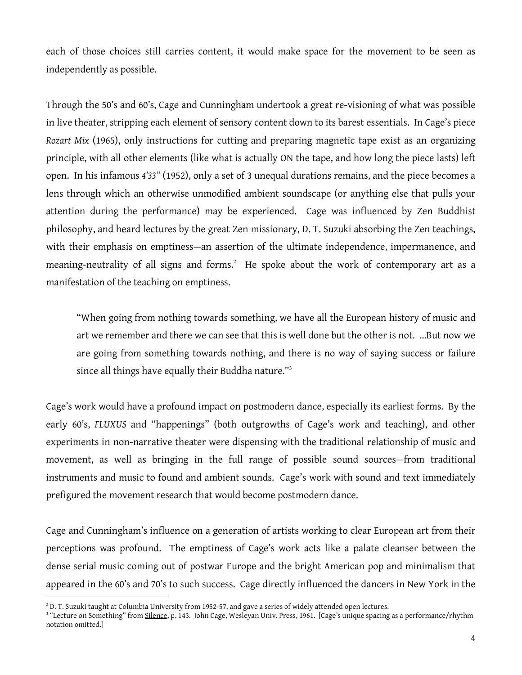each of those choices still carries content, it would make space for the movement to be seen as independently as possible.

Through the 50's and 60's, Cage and Cunningham undertook a great re-visioning of what was possible in live theater, stripping each element of sensory content down to its barest essentials. In Cage's piece *Rozart Mix* (1965), only instructions for cutting and preparing magnetic tape exist as an organizing principle, with all other elements (like what is actually ON the tape, and how long the piece lasts) left open. In his infamous *4'33"* (1952), only a set of 3 unequal durations remains, and the piece becomes a lens through which an otherwise unmodified ambient soundscape (or anything else that pulls your attention during the performance) may be experienced. Cage was influenced by Zen Buddhist philosophy, and heard lectures by the great Zen missionary, D. T. Suzuki absorbing the Zen teachings, with their emphasis on emptiness—an assertion of the ultimate independence, impermanence, and meaning-neutrality of all signs and forms. $^2$  He spoke about the work of contemporary art as a manifestation of the teaching on emptiness.

"When going from nothing towards something, we have all the European history of music and art we remember and there we can see that this is well done but the other is not. …But now we are going from something towards nothing, and there is no way of saying success or failure since all things have equally their Buddha nature."<sup>3</sup>

Cage's work would have a profound impact on postmodern dance, especially its earliest forms. By the early 60's, *FLUXUS* and "happenings" (both outgrowths of Cage's work and teaching), and other experiments in non-narrative theater were dispensing with the traditional relationship of music and movement, as well as bringing in the full range of possible sound sources—from traditional instruments and music to found and ambient sounds. Cage's work with sound and text immediately prefigured the movement research that would become postmodern dance.

Cage and Cunningham's influence on a generation of artists working to clear European art from their perceptions was profound. The emptiness of Cage's work acts like a palate cleanser between the dense serial music coming out of postwar Europe and the bright American pop and minimalism that appeared in the 60's and 70's to such success. Cage directly influenced the dancers in New York in the

 $2$  D. T. Suzuki taught at Columbia University from 1952-57, and gave a series of widely attended open lectures.

<sup>&</sup>lt;sup>3</sup> "Lecture on Something" from Silence, p. 143. John Cage, Wesleyan Univ. Press, 1961. [Cage's unique spacing as a performance/rhythm notation omitted.]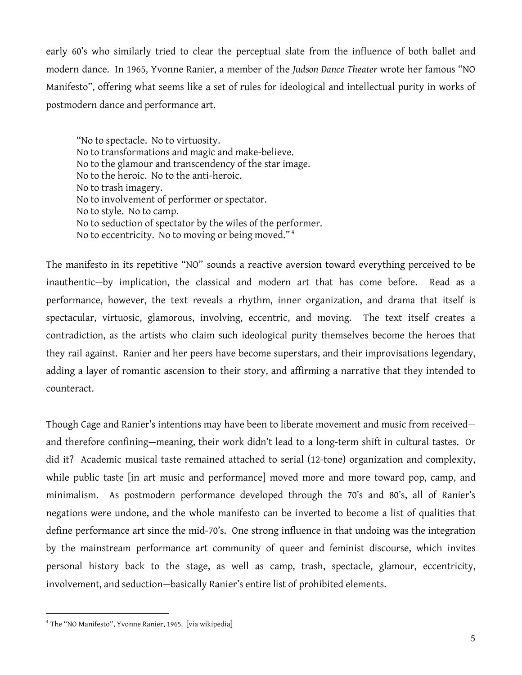early 60's who similarly tried to clear the perceptual slate from the influence of both ballet and modern dance. In 1965, Yvonne Ranier, a member of the *Judson Dance Theater* wrote her famous "NO Manifesto", offering what seems like a set of rules for ideological and intellectual purity in works of postmodern dance and performance art.

"No to spectacle. No to virtuosity. No to transformations and magic and make-believe. No to the glamour and transcendency of the star image. No to the heroic. No to the anti-heroic. No to trash imagery. No to involvement of performer or spectator. No to style. No to camp. No to seduction of spectator by the wiles of the performer. No to eccentricity. No to moving or being moved." <sup>4</sup>

The manifesto in its repetitive "NO" sounds a reactive aversion toward everything perceived to be inauthentic—by implication, the classical and modern art that has come before. Read as a performance, however, the text reveals a rhythm, inner organization, and drama that itself is spectacular, virtuosic, glamorous, involving, eccentric, and moving. The text itself creates a contradiction, as the artists who claim such ideological purity themselves become the heroes that they rail against. Ranier and her peers have become superstars, and their improvisations legendary, adding a layer of romantic ascension to their story, and affirming a narrative that they intended to counteract.

Though Cage and Ranier's intentions may have been to liberate movement and music from received and therefore confining—meaning, their work didn't lead to a long-term shift in cultural tastes. Or did it? Academic musical taste remained attached to serial (12-tone) organization and complexity, while public taste [in art music and performance] moved more and more toward pop, camp, and minimalism. As postmodern performance developed through the 70's and 80's, all of Ranier's negations were undone, and the whole manifesto can be inverted to become a list of qualities that define performance art since the mid-70's. One strong influence in that undoing was the integration by the mainstream performance art community of queer and feminist discourse, which invites personal history back to the stage, as well as camp, trash, spectacle, glamour, eccentricity, involvement, and seduction—basically Ranier's entire list of prohibited elements.

 <sup>4</sup> The "NO Manifesto", Yvonne Ranier, 1965. [via wikipedia]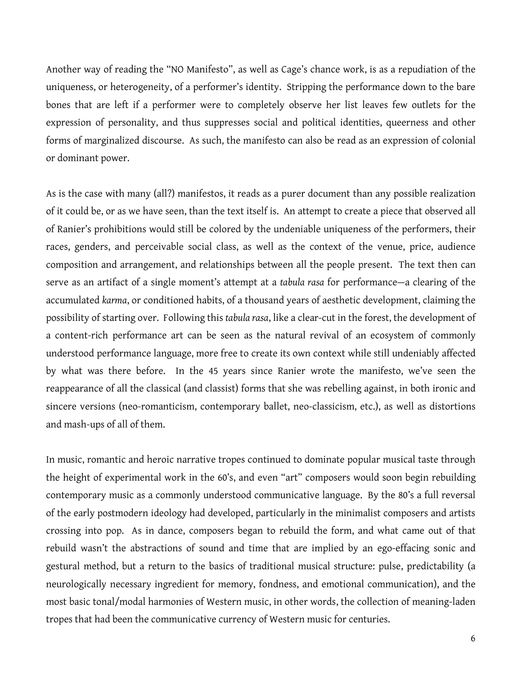Another way of reading the "NO Manifesto", as well as Cage's chance work, is as a repudiation of the uniqueness, or heterogeneity, of a performer's identity. Stripping the performance down to the bare bones that are left if a performer were to completely observe her list leaves few outlets for the expression of personality, and thus suppresses social and political identities, queerness and other forms of marginalized discourse. As such, the manifesto can also be read as an expression of colonial or dominant power.

As is the case with many (all?) manifestos, it reads as a purer document than any possible realization of it could be, or as we have seen, than the text itself is. An attempt to create a piece that observed all of Ranier's prohibitions would still be colored by the undeniable uniqueness of the performers, their races, genders, and perceivable social class, as well as the context of the venue, price, audience composition and arrangement, and relationships between all the people present. The text then can serve as an artifact of a single moment's attempt at a *tabula rasa* for performance—a clearing of the accumulated *karma*, or conditioned habits, of a thousand years of aesthetic development, claiming the possibility of starting over. Following this *tabula rasa*, like a clear-cut in the forest, the development of a content-rich performance art can be seen as the natural revival of an ecosystem of commonly understood performance language, more free to create its own context while still undeniably affected by what was there before. In the 45 years since Ranier wrote the manifesto, we've seen the reappearance of all the classical (and classist) forms that she was rebelling against, in both ironic and sincere versions (neo-romanticism, contemporary ballet, neo-classicism, etc.), as well as distortions and mash-ups of all of them.

In music, romantic and heroic narrative tropes continued to dominate popular musical taste through the height of experimental work in the 60's, and even "art" composers would soon begin rebuilding contemporary music as a commonly understood communicative language. By the 80's a full reversal of the early postmodern ideology had developed, particularly in the minimalist composers and artists crossing into pop. As in dance, composers began to rebuild the form, and what came out of that rebuild wasn't the abstractions of sound and time that are implied by an ego-effacing sonic and gestural method, but a return to the basics of traditional musical structure: pulse, predictability (a neurologically necessary ingredient for memory, fondness, and emotional communication), and the most basic tonal/modal harmonies of Western music, in other words, the collection of meaning-laden tropes that had been the communicative currency of Western music for centuries.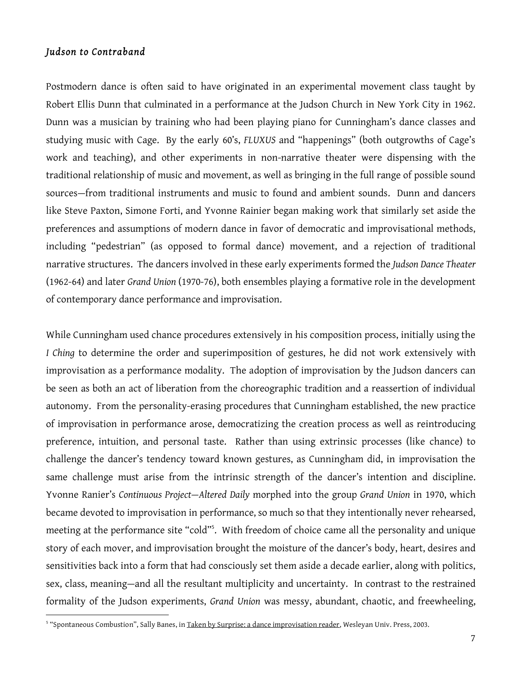### *Judson to Contraband*

Postmodern dance is often said to have originated in an experimental movement class taught by Robert Ellis Dunn that culminated in a performance at the Judson Church in New York City in 1962. Dunn was a musician by training who had been playing piano for Cunningham's dance classes and studying music with Cage. By the early 60's, *FLUXUS* and "happenings" (both outgrowths of Cage's work and teaching), and other experiments in non-narrative theater were dispensing with the traditional relationship of music and movement, as well as bringing in the full range of possible sound sources—from traditional instruments and music to found and ambient sounds. Dunn and dancers like Steve Paxton, Simone Forti, and Yvonne Rainier began making work that similarly set aside the preferences and assumptions of modern dance in favor of democratic and improvisational methods, including "pedestrian" (as opposed to formal dance) movement, and a rejection of traditional narrative structures. The dancers involved in these early experiments formed the *Judson Dance Theater* (1962-64) and later *Grand Union* (1970-76), both ensembles playing a formative role in the development of contemporary dance performance and improvisation.

While Cunningham used chance procedures extensively in his composition process, initially using the *I Ching* to determine the order and superimposition of gestures, he did not work extensively with improvisation as a performance modality. The adoption of improvisation by the Judson dancers can be seen as both an act of liberation from the choreographic tradition and a reassertion of individual autonomy. From the personality-erasing procedures that Cunningham established, the new practice of improvisation in performance arose, democratizing the creation process as well as reintroducing preference, intuition, and personal taste. Rather than using extrinsic processes (like chance) to challenge the dancer's tendency toward known gestures, as Cunningham did, in improvisation the same challenge must arise from the intrinsic strength of the dancer's intention and discipline. Yvonne Ranier's *Continuous Project—Altered Daily* morphed into the group *Grand Union* in 1970, which became devoted to improvisation in performance, so much so that they intentionally never rehearsed, meeting at the performance site "cold"5 . With freedom of choice came all the personality and unique story of each mover, and improvisation brought the moisture of the dancer's body, heart, desires and sensitivities back into a form that had consciously set them aside a decade earlier, along with politics, sex, class, meaning—and all the resultant multiplicity and uncertainty. In contrast to the restrained formality of the Judson experiments, *Grand Union* was messy, abundant, chaotic, and freewheeling,

 <sup>5</sup> "Spontaneous Combustion", Sally Banes, in Taken by Surprise: a dance improvisation reader, Wesleyan Univ. Press, 2003.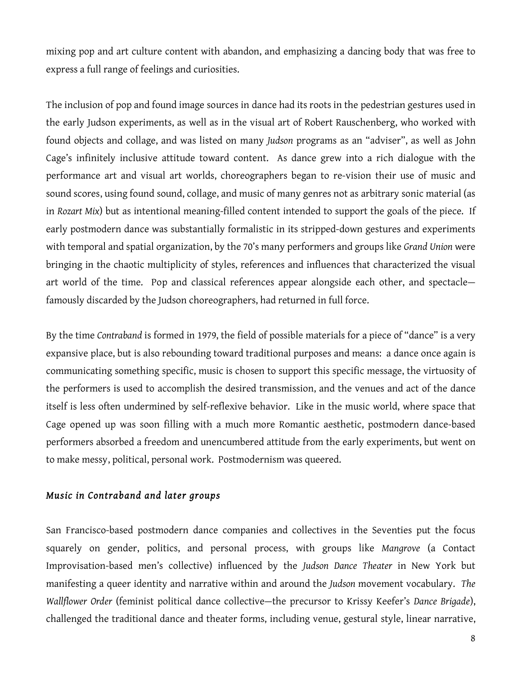mixing pop and art culture content with abandon, and emphasizing a dancing body that was free to express a full range of feelings and curiosities.

The inclusion of pop and found image sources in dance had its roots in the pedestrian gestures used in the early Judson experiments, as well as in the visual art of Robert Rauschenberg, who worked with found objects and collage, and was listed on many *Judson* programs as an "adviser", as well as John Cage's infinitely inclusive attitude toward content. As dance grew into a rich dialogue with the performance art and visual art worlds, choreographers began to re-vision their use of music and sound scores, using found sound, collage, and music of many genres not as arbitrary sonic material (as in *Rozart Mix*) but as intentional meaning-filled content intended to support the goals of the piece. If early postmodern dance was substantially formalistic in its stripped-down gestures and experiments with temporal and spatial organization, by the 70's many performers and groups like *Grand Union* were bringing in the chaotic multiplicity of styles, references and influences that characterized the visual art world of the time. Pop and classical references appear alongside each other, and spectacle famously discarded by the Judson choreographers, had returned in full force.

By the time *Contraband* is formed in 1979, the field of possible materials for a piece of "dance" is a very expansive place, but is also rebounding toward traditional purposes and means: a dance once again is communicating something specific, music is chosen to support this specific message, the virtuosity of the performers is used to accomplish the desired transmission, and the venues and act of the dance itself is less often undermined by self-reflexive behavior. Like in the music world, where space that Cage opened up was soon filling with a much more Romantic aesthetic, postmodern dance-based performers absorbed a freedom and unencumbered attitude from the early experiments, but went on to make messy, political, personal work. Postmodernism was queered.

## *Music in Contraband and later groups*

San Francisco-based postmodern dance companies and collectives in the Seventies put the focus squarely on gender, politics, and personal process, with groups like *Mangrove* (a Contact Improvisation-based men's collective) influenced by the *Judson Dance Theater* in New York but manifesting a queer identity and narrative within and around the *Judson* movement vocabulary. *The Wallflower Order* (feminist political dance collective—the precursor to Krissy Keefer's *Dance Brigade*), challenged the traditional dance and theater forms, including venue, gestural style, linear narrative,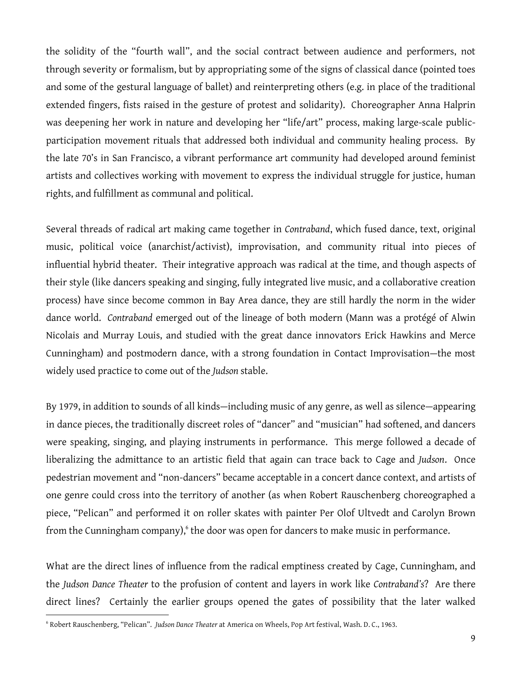the solidity of the "fourth wall", and the social contract between audience and performers, not through severity or formalism, but by appropriating some of the signs of classical dance (pointed toes and some of the gestural language of ballet) and reinterpreting others (e.g. in place of the traditional extended fingers, fists raised in the gesture of protest and solidarity). Choreographer Anna Halprin was deepening her work in nature and developing her "life/art" process, making large-scale publicparticipation movement rituals that addressed both individual and community healing process. By the late 70's in San Francisco, a vibrant performance art community had developed around feminist artists and collectives working with movement to express the individual struggle for justice, human rights, and fulfillment as communal and political.

Several threads of radical art making came together in *Contraband*, which fused dance, text, original music, political voice (anarchist/activist), improvisation, and community ritual into pieces of influential hybrid theater. Their integrative approach was radical at the time, and though aspects of their style (like dancers speaking and singing, fully integrated live music, and a collaborative creation process) have since become common in Bay Area dance, they are still hardly the norm in the wider dance world. *Contraband* emerged out of the lineage of both modern (Mann was a protégé of Alwin Nicolais and Murray Louis, and studied with the great dance innovators Erick Hawkins and Merce Cunningham) and postmodern dance, with a strong foundation in Contact Improvisation—the most widely used practice to come out of the *Judson* stable.

By 1979, in addition to sounds of all kinds—including music of any genre, as well as silence—appearing in dance pieces, the traditionally discreet roles of "dancer" and "musician" had softened, and dancers were speaking, singing, and playing instruments in performance. This merge followed a decade of liberalizing the admittance to an artistic field that again can trace back to Cage and *Judson*. Once pedestrian movement and "non-dancers" became acceptable in a concert dance context, and artists of one genre could cross into the territory of another (as when Robert Rauschenberg choreographed a piece, "Pelican" and performed it on roller skates with painter Per Olof Ultvedt and Carolyn Brown from the Cunningham company), $\delta$  the door was open for dancers to make music in performance.

What are the direct lines of influence from the radical emptiness created by Cage, Cunningham, and the *Judson Dance Theater* to the profusion of content and layers in work like *Contraband's*? Are there direct lines? Certainly the earlier groups opened the gates of possibility that the later walked

 <sup>6</sup> Robert Rauschenberg, "Pelican". *Judson Dance Theater* at America on Wheels, Pop Art festival, Wash. D. C., 1963.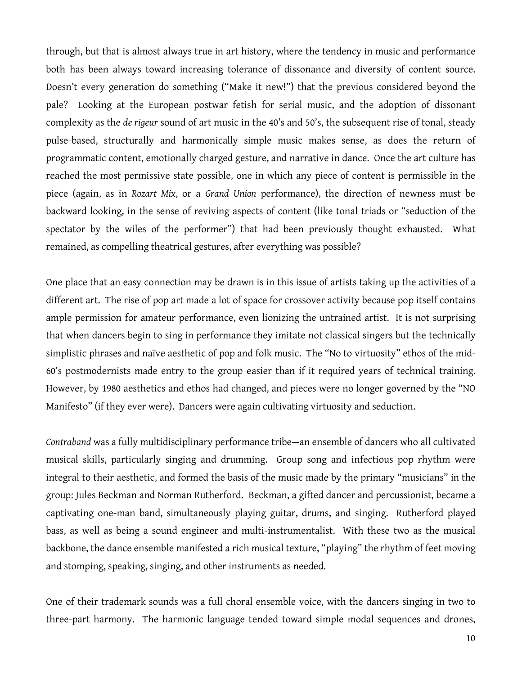through, but that is almost always true in art history, where the tendency in music and performance both has been always toward increasing tolerance of dissonance and diversity of content source. Doesn't every generation do something ("Make it new!") that the previous considered beyond the pale? Looking at the European postwar fetish for serial music, and the adoption of dissonant complexity as the *de rigeur* sound of art music in the 40's and 50's, the subsequent rise of tonal, steady pulse-based, structurally and harmonically simple music makes sense, as does the return of programmatic content, emotionally charged gesture, and narrative in dance. Once the art culture has reached the most permissive state possible, one in which any piece of content is permissible in the piece (again, as in *Rozart Mix*, or a *Grand Union* performance), the direction of newness must be backward looking, in the sense of reviving aspects of content (like tonal triads or "seduction of the spectator by the wiles of the performer") that had been previously thought exhausted. What remained, as compelling theatrical gestures, after everything was possible?

One place that an easy connection may be drawn is in this issue of artists taking up the activities of a different art. The rise of pop art made a lot of space for crossover activity because pop itself contains ample permission for amateur performance, even lionizing the untrained artist. It is not surprising that when dancers begin to sing in performance they imitate not classical singers but the technically simplistic phrases and naïve aesthetic of pop and folk music. The "No to virtuosity" ethos of the mid-60's postmodernists made entry to the group easier than if it required years of technical training. However, by 1980 aesthetics and ethos had changed, and pieces were no longer governed by the "NO Manifesto" (if they ever were). Dancers were again cultivating virtuosity and seduction.

*Contraband* was a fully multidisciplinary performance tribe—an ensemble of dancers who all cultivated musical skills, particularly singing and drumming. Group song and infectious pop rhythm were integral to their aesthetic, and formed the basis of the music made by the primary "musicians" in the group: Jules Beckman and Norman Rutherford. Beckman, a gifted dancer and percussionist, became a captivating one-man band, simultaneously playing guitar, drums, and singing. Rutherford played bass, as well as being a sound engineer and multi-instrumentalist. With these two as the musical backbone, the dance ensemble manifested a rich musical texture, "playing" the rhythm of feet moving and stomping, speaking, singing, and other instruments as needed.

One of their trademark sounds was a full choral ensemble voice, with the dancers singing in two to three-part harmony. The harmonic language tended toward simple modal sequences and drones,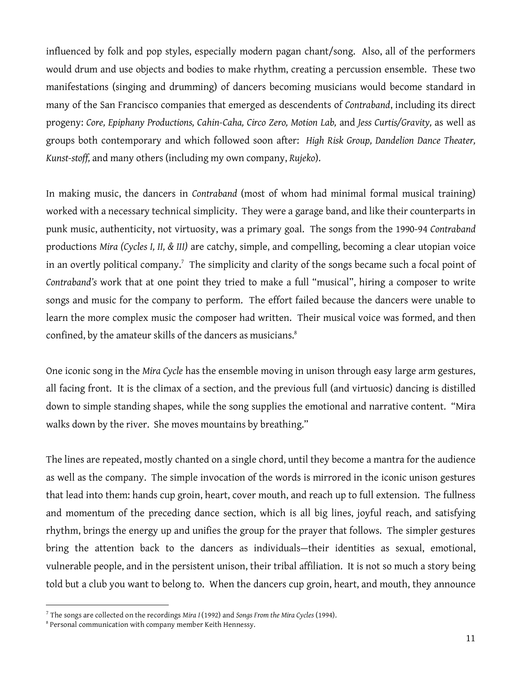influenced by folk and pop styles, especially modern pagan chant/song. Also, all of the performers would drum and use objects and bodies to make rhythm, creating a percussion ensemble. These two manifestations (singing and drumming) of dancers becoming musicians would become standard in many of the San Francisco companies that emerged as descendents of *Contraband*, including its direct progeny: *Core, Epiphany Productions, Cahin-Caha, Circo Zero, Motion Lab,* and *Jess Curtis/Gravity,* as well as groups both contemporary and which followed soon after: *High Risk Group, Dandelion Dance Theater, Kunst-stoff,* and many others (including my own company, *Rujeko*).

In making music, the dancers in *Contraband* (most of whom had minimal formal musical training) worked with a necessary technical simplicity. They were a garage band, and like their counterparts in punk music, authenticity, not virtuosity, was a primary goal. The songs from the 1990-94 *Contraband* productions *Mira (Cycles I, II, & III)* are catchy, simple, and compelling, becoming a clear utopian voice in an overtly political company. $^7$  The simplicity and clarity of the songs became such a focal point of *Contraband's* work that at one point they tried to make a full "musical", hiring a composer to write songs and music for the company to perform. The effort failed because the dancers were unable to learn the more complex music the composer had written. Their musical voice was formed, and then confined, by the amateur skills of the dancers as musicians. 8

One iconic song in the *Mira Cycle* has the ensemble moving in unison through easy large arm gestures, all facing front. It is the climax of a section, and the previous full (and virtuosic) dancing is distilled down to simple standing shapes, while the song supplies the emotional and narrative content. "Mira walks down by the river. She moves mountains by breathing."

The lines are repeated, mostly chanted on a single chord, until they become a mantra for the audience as well as the company. The simple invocation of the words is mirrored in the iconic unison gestures that lead into them: hands cup groin, heart, cover mouth, and reach up to full extension. The fullness and momentum of the preceding dance section, which is all big lines, joyful reach, and satisfying rhythm, brings the energy up and unifies the group for the prayer that follows. The simpler gestures bring the attention back to the dancers as individuals—their identities as sexual, emotional, vulnerable people, and in the persistent unison, their tribal affiliation. It is not so much a story being told but a club you want to belong to. When the dancers cup groin, heart, and mouth, they announce

 <sup>7</sup> The songs are collected on the recordings *Mira <sup>I</sup>* (1992) and *Songs From the Mira Cycles* (1994).

<sup>8</sup> Personal communication with company member Keith Hennessy.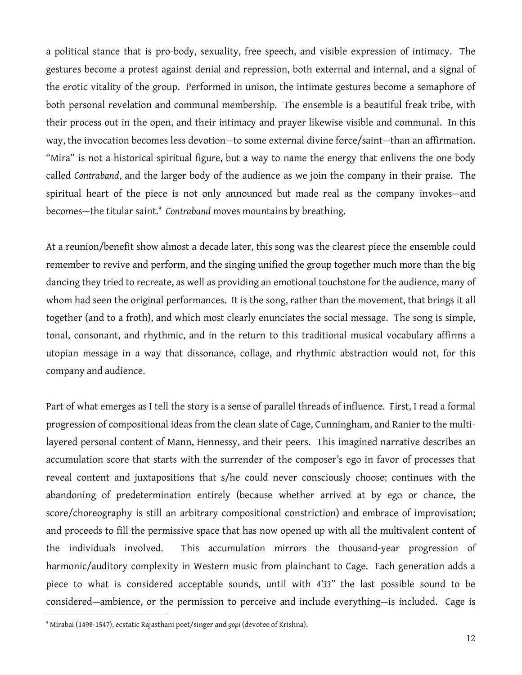a political stance that is pro-body, sexuality, free speech, and visible expression of intimacy. The gestures become a protest against denial and repression, both external and internal, and a signal of the erotic vitality of the group. Performed in unison, the intimate gestures become a semaphore of both personal revelation and communal membership. The ensemble is a beautiful freak tribe, with their process out in the open, and their intimacy and prayer likewise visible and communal. In this way, the invocation becomes less devotion—to some external divine force/saint—than an affirmation. "Mira" is not a historical spiritual figure, but a way to name the energy that enlivens the one body called *Contraband*, and the larger body of the audience as we join the company in their praise. The spiritual heart of the piece is not only announced but made real as the company invokes—and becomes—the titular saint. 9 *Contraband* moves mountains by breathing.

At a reunion/benefit show almost a decade later, this song was the clearest piece the ensemble could remember to revive and perform, and the singing unified the group together much more than the big dancing they tried to recreate, as well as providing an emotional touchstone for the audience, many of whom had seen the original performances. It is the song, rather than the movement, that brings it all together (and to a froth), and which most clearly enunciates the social message. The song is simple, tonal, consonant, and rhythmic, and in the return to this traditional musical vocabulary affirms a utopian message in a way that dissonance, collage, and rhythmic abstraction would not, for this company and audience.

Part of what emerges as I tell the story is a sense of parallel threads of influence. First, I read a formal progression of compositional ideas from the clean slate of Cage, Cunningham, and Ranier to the multilayered personal content of Mann, Hennessy, and their peers. This imagined narrative describes an accumulation score that starts with the surrender of the composer's ego in favor of processes that reveal content and juxtapositions that s/he could never consciously choose; continues with the abandoning of predetermination entirely (because whether arrived at by ego or chance, the score/choreography is still an arbitrary compositional constriction) and embrace of improvisation; and proceeds to fill the permissive space that has now opened up with all the multivalent content of the individuals involved. This accumulation mirrors the thousand-year progression of harmonic/auditory complexity in Western music from plainchant to Cage. Each generation adds a piece to what is considered acceptable sounds, until with *4'33"* the last possible sound to be considered—ambience, or the permission to perceive and include everything—is included. Cage is

 <sup>9</sup> Mirabai (1498-1547), ecstatic Rajasthani poet/singer and *gopi* (devotee of Krishna).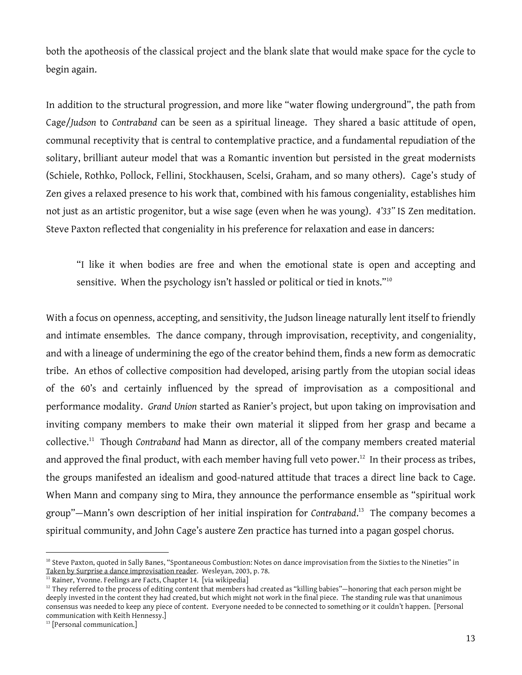both the apotheosis of the classical project and the blank slate that would make space for the cycle to begin again.

In addition to the structural progression, and more like "water flowing underground", the path from Cage/*Judson* to *Contraband* can be seen as a spiritual lineage. They shared a basic attitude of open, communal receptivity that is central to contemplative practice, and a fundamental repudiation of the solitary, brilliant auteur model that was a Romantic invention but persisted in the great modernists (Schiele, Rothko, Pollock, Fellini, Stockhausen, Scelsi, Graham, and so many others). Cage's study of Zen gives a relaxed presence to his work that, combined with his famous congeniality, establishes him not just as an artistic progenitor, but a wise sage (even when he was young). *4'33"* IS Zen meditation. Steve Paxton reflected that congeniality in his preference for relaxation and ease in dancers:

"I like it when bodies are free and when the emotional state is open and accepting and sensitive. When the psychology isn't hassled or political or tied in knots."<sup>10</sup>

With a focus on openness, accepting, and sensitivity, the Judson lineage naturally lent itself to friendly and intimate ensembles. The dance company, through improvisation, receptivity, and congeniality, and with a lineage of undermining the ego of the creator behind them, finds a new form as democratic tribe. An ethos of collective composition had developed, arising partly from the utopian social ideas of the 60's and certainly influenced by the spread of improvisation as a compositional and performance modality. *Grand Union* started as Ranier's project, but upon taking on improvisation and inviting company members to make their own material it slipped from her grasp and became a collective. <sup>11</sup> Though *Contraband* had Mann as director, all of the company members created material and approved the final product, with each member having full veto power. $^{12}\,$  In their process as tribes, the groups manifested an idealism and good-natured attitude that traces a direct line back to Cage. When Mann and company sing to Mira, they announce the performance ensemble as "spiritual work group"—Mann's own description of her initial inspiration for *Contraband*. <sup>13</sup> The company becomes a spiritual community, and John Cage's austere Zen practice has turned into a pagan gospel chorus.

<sup>&</sup>lt;sup>10</sup> Steve Paxton, quoted in Sally Banes, "Spontaneous Combustion: Notes on dance improvisation from the Sixties to the Nineties" in Taken by Surprise a dance improvisation reader. Wesleyan, 2003, p. 78.

<sup>&</sup>lt;sup>11</sup> Rainer, Yvonne. Feelings are Facts, Chapter 14. [via wikipedia]

 $12$  They referred to the process of editing content that members had created as "killing babies"—honoring that each person might be deeply invested in the content they had created, but which might not work in the final piece. The standing rule was that unanimous consensus was needed to keep any piece of content. Everyone needed to be connected to something or it couldn't happen. [Personal communication with Keith Hennessy.]

<sup>&</sup>lt;sup>13</sup> [Personal communication.]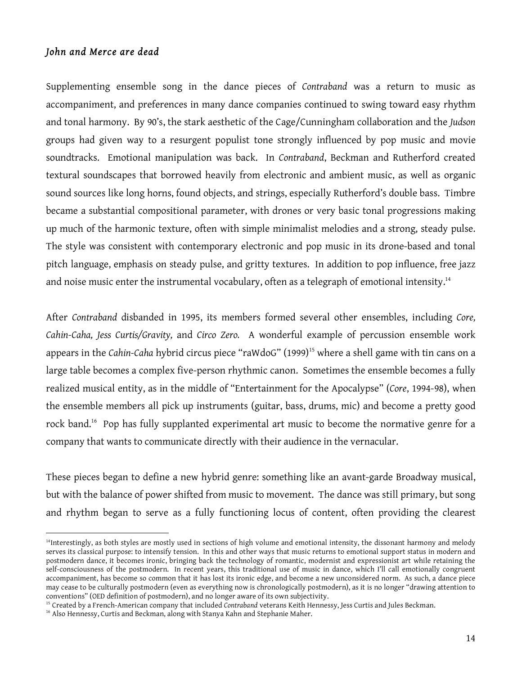## *John and Merce are dead*

Supplementing ensemble song in the dance pieces of *Contraband* was a return to music as accompaniment, and preferences in many dance companies continued to swing toward easy rhythm and tonal harmony. By 90's, the stark aesthetic of the Cage/Cunningham collaboration and the *Judson* groups had given way to a resurgent populist tone strongly influenced by pop music and movie soundtracks. Emotional manipulation was back. In *Contraband*, Beckman and Rutherford created textural soundscapes that borrowed heavily from electronic and ambient music, as well as organic sound sources like long horns, found objects, and strings, especially Rutherford's double bass. Timbre became a substantial compositional parameter, with drones or very basic tonal progressions making up much of the harmonic texture, often with simple minimalist melodies and a strong, steady pulse. The style was consistent with contemporary electronic and pop music in its drone-based and tonal pitch language, emphasis on steady pulse, and gritty textures. In addition to pop influence, free jazz and noise music enter the instrumental vocabulary, often as a telegraph of emotional intensity. $^{14}$ 

After *Contraband* disbanded in 1995, its members formed several other ensembles, including *Core, Cahin-Caha, Jess Curtis/Gravity,* and *Circo Zero.* A wonderful example of percussion ensemble work appears in the *Cahin-Caha* hybrid circus piece "raWdoG" (1999) <sup>15</sup> where a shell game with tin cans on a large table becomes a complex five-person rhythmic canon. Sometimes the ensemble becomes a fully realized musical entity, as in the middle of "Entertainment for the Apocalypse" (*Core*, 1994-98), when the ensemble members all pick up instruments (guitar, bass, drums, mic) and become a pretty good rock band.<sup>16</sup> Pop has fully supplanted experimental art music to become the normative genre for a company that wants to communicate directly with their audience in the vernacular.

These pieces began to define a new hybrid genre: something like an avant-garde Broadway musical, but with the balance of power shifted from music to movement. The dance was still primary, but song and rhythm began to serve as a fully functioning locus of content, often providing the clearest

 <sup>14</sup> Interestingly, as both styles are mostly used in sections of high volume and emotional intensity, the dissonant harmony and melody serves its classical purpose: to intensify tension. In this and other ways that music returns to emotional support status in modern and postmodern dance, it becomes ironic, bringing back the technology of romantic, modernist and expressionist art while retaining the self-consciousness of the postmodern. In recent years, this traditional use of music in dance, which I'll call emotionally congruent accompaniment, has become so common that it has lost its ironic edge, and become a new unconsidered norm. As such, a dance piece may cease to be culturally postmodern (even as everything now is chronologically postmodern), as it is no longer "drawing attention to conventions" (OED definition of postmodern), and no longer aware of its own subjectivity.

<sup>&</sup>lt;sup>15</sup> Created by a French-American company that included *Contraband* veterans Keith Hennessy, Jess Curtis and Jules Beckman.

<sup>&</sup>lt;sup>16</sup> Also Hennessy, Curtis and Beckman, along with Stanya Kahn and Stephanie Maher.